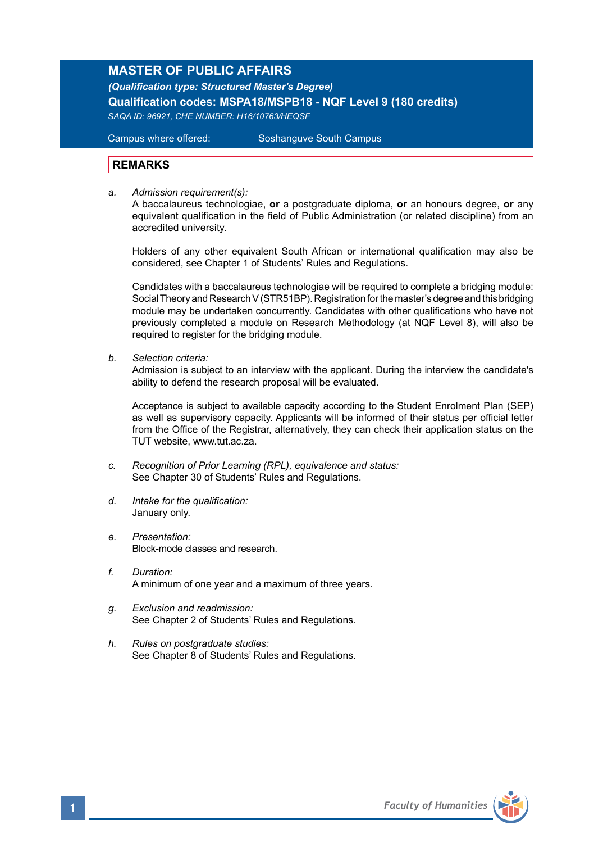# **MASTER OF PUBLIC AFFAIRS**

*(Qualification type: Structured Master's Degree)*  **Qualification codes: MSPA18/MSPB18 - NQF Level 9 (180 credits)**  *SAQA ID: 96921, CHE NUMBER: H16/10763/HEQSF*

Campus where offered: Soshanguve South Campus

## **REMARKS**

*a. Admission requirement(s):*

A baccalaureus technologiae, **or** a postgraduate diploma, **or** an honours degree, **or** any equivalent qualification in the field of Public Administration (or related discipline) from an accredited university.

Holders of any other equivalent South African or international qualification may also be considered, see Chapter 1 of Students' Rules and Regulations.

Candidates with a baccalaureus technologiae will be required to complete a bridging module: Social Theory and Research V (STR51BP). Registration for the master's degree and this bridging module may be undertaken concurrently. Candidates with other qualifications who have not previously completed a module on Research Methodology (at NQF Level 8), will also be required to register for the bridging module.

*b. Selection criteria:*

Admission is subject to an interview with the applicant. During the interview the candidate's ability to defend the research proposal will be evaluated.

Acceptance is subject to available capacity according to the Student Enrolment Plan (SEP) as well as supervisory capacity. Applicants will be informed of their status per official letter from the Office of the Registrar, alternatively, they can check their application status on the TUT website, www.tut.ac.za.

- *c. Recognition of Prior Learning (RPL), equivalence and status:* See Chapter 30 of Students' Rules and Regulations.
- *d. Intake for the qualification:* January only.
- *e. Presentation:*  Block-mode classes and research.
- *f. Duration:* A minimum of one year and a maximum of three years.
- *g. Exclusion and readmission:* See Chapter 2 of Students' Rules and Regulations.
- *h. Rules on postgraduate studies:* See Chapter 8 of Students' Rules and Regulations.

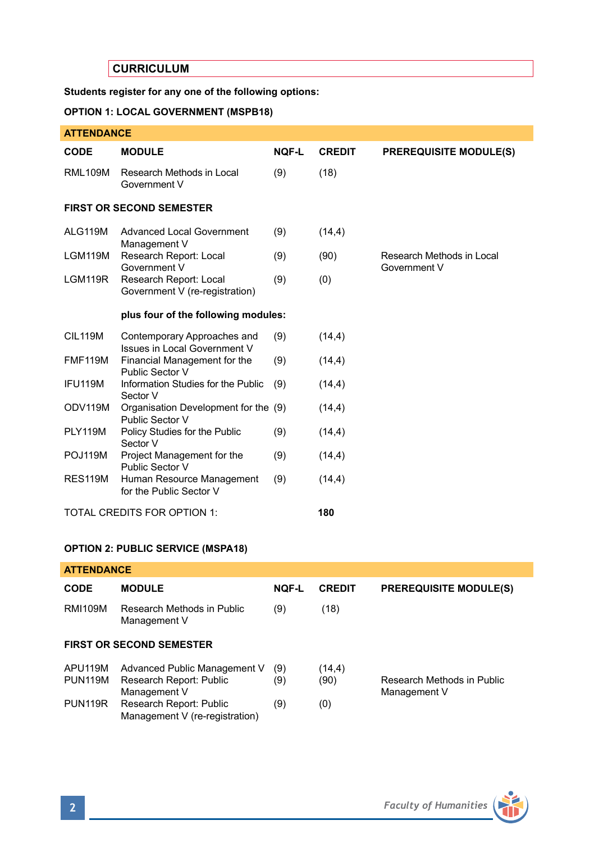# **CURRICULUM**

## **Students register for any one of the following options:**

## **OPTION 1: LOCAL GOVERNMENT (MSPB18)**

| <b>ATTENDANCE</b> |
|-------------------|
|-------------------|

| <b>CODE</b>                     | <b>MODULE</b>                                               | NOF-L | <b>CREDIT</b> | <b>PREREQUISITE MODULE(S)</b>             |  |  |  |
|---------------------------------|-------------------------------------------------------------|-------|---------------|-------------------------------------------|--|--|--|
| <b>RML109M</b>                  | Research Methods in Local<br>Government V                   | (9)   | (18)          |                                           |  |  |  |
| <b>FIRST OR SECOND SEMESTER</b> |                                                             |       |               |                                           |  |  |  |
| ALG119M                         | Advanced Local Government<br>Management V                   | (9)   | (14,4)        |                                           |  |  |  |
| LGM119M                         | Research Report: Local<br>Government V                      | (9)   | (90)          | Research Methods in Local<br>Government V |  |  |  |
| LGM119R                         | Research Report: Local<br>Government V (re-registration)    | (9)   | (0)           |                                           |  |  |  |
|                                 | plus four of the following modules:                         |       |               |                                           |  |  |  |
| <b>CIL119M</b>                  | Contemporary Approaches and<br>Issues in Local Government V | (9)   | (14, 4)       |                                           |  |  |  |
| <b>FMF119M</b>                  | Financial Management for the<br>Public Sector V             | (9)   | (14, 4)       |                                           |  |  |  |
| IFU119M                         | Information Studies for the Public<br>Sector V              | (9)   | (14, 4)       |                                           |  |  |  |
| ODV119M                         | Organisation Development for the (9)<br>Public Sector V     |       | (14, 4)       |                                           |  |  |  |
| <b>PLY119M</b>                  | Policy Studies for the Public<br>Sector V                   | (9)   | (14, 4)       |                                           |  |  |  |
| POJ119M                         | Project Management for the<br>Public Sector V               | (9)   | (14,4)        |                                           |  |  |  |
| <b>RES119M</b>                  | Human Resource Management<br>for the Public Sector V        | (9)   | (14, 4)       |                                           |  |  |  |
|                                 | TOTAL CREDITS FOR OPTION 1:                                 |       | 180           |                                           |  |  |  |

### **OPTION 2: PUBLIC SERVICE (MSPA18)**

| <b>ATTENDANCE</b>               |                                                                         |              |                |                                            |  |  |  |
|---------------------------------|-------------------------------------------------------------------------|--------------|----------------|--------------------------------------------|--|--|--|
| <b>CODE</b>                     | <b>MODULE</b>                                                           | <b>NOF-L</b> | <b>CREDIT</b>  | <b>PREREQUISITE MODULE(S)</b>              |  |  |  |
| <b>RMI109M</b>                  | Research Methods in Public<br>Management V                              | (9)          | (18)           |                                            |  |  |  |
| <b>FIRST OR SECOND SEMESTER</b> |                                                                         |              |                |                                            |  |  |  |
| APU119M<br><b>PUN119M</b>       | Advanced Public Management V<br>Research Report: Public<br>Management V | (9)<br>(9)   | (14,4)<br>(90) | Research Methods in Public<br>Management V |  |  |  |
| <b>PUN119R</b>                  | Research Report: Public<br>Management V (re-registration)               | (9)          | (0)            |                                            |  |  |  |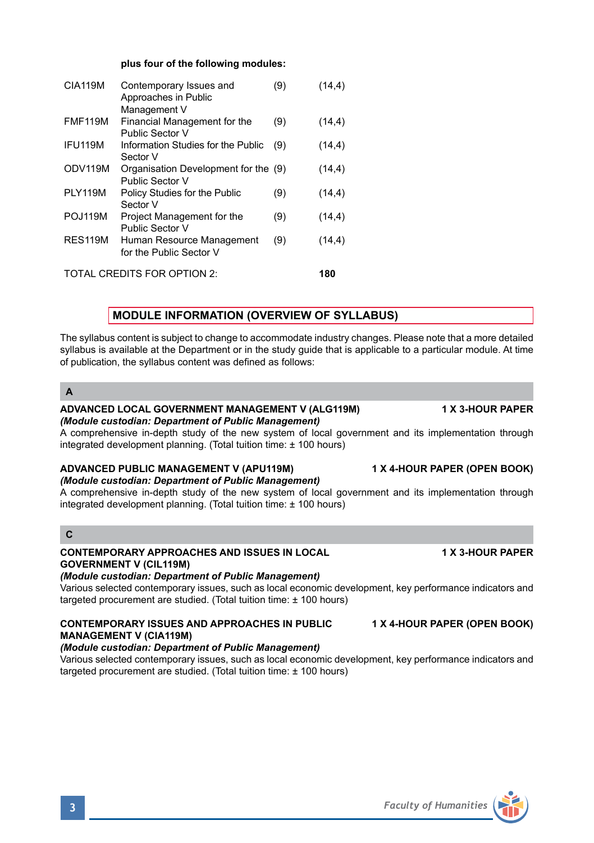#### **plus four of the following modules:**

| <b>CIA119M</b>              | Contemporary Issues and<br>Approaches in Public         | (9) | (14,4) |  |
|-----------------------------|---------------------------------------------------------|-----|--------|--|
|                             | Management V                                            |     |        |  |
| <b>FMF119M</b>              | Financial Management for the<br>Public Sector V         | (9) | (14,4) |  |
| IFU119M                     | Information Studies for the Public<br>Sector V          | (9) | (14,4) |  |
| ODV119M                     | Organisation Development for the (9)<br>Public Sector V |     | (14,4) |  |
| <b>PLY119M</b>              | Policy Studies for the Public<br>Sector V               | (9) | (14,4) |  |
| POJ119M                     | Project Management for the<br>Public Sector V           | (9) | (14,4) |  |
| <b>RES119M</b>              | Human Resource Management<br>for the Public Sector V    | (9) | (14,4) |  |
| TOTAL CREDITS FOR OPTION 2: |                                                         |     |        |  |

## **MODULE INFORMATION (OVERVIEW OF SYLLABUS)**

The syllabus content is subject to change to accommodate industry changes. Please note that a more detailed syllabus is available at the Department or in the study quide that is applicable to a particular module. At time of publication, the syllabus content was defined as follows:

**A**

#### **ADVANCED LOCAL GOVERNMENT MANAGEMENT V (ALG119M) 1 X 3-HOUR PAPER** *(Module custodian: Department of Public Management)*

A comprehensive in-depth study of the new system of local government and its implementation through integrated development planning. (Total tuition time: ± 100 hours)

# **ADVANCED PUBLIC MANAGEMENT V (APU119M) 1 X 4-HOUR PAPER (OPEN BOOK)**

*(Module custodian: Department of Public Management)* 

A comprehensive in-depth study of the new system of local government and its implementation through integrated development planning. (Total tuition time: ± 100 hours)

# **C**

### **CONTEMPORARY APPROACHES AND ISSUES IN LOCAL 1 X 3-HOUR PAPER GOVERNMENT V (CIL119M)**

*(Module custodian: Department of Public Management)*

Various selected contemporary issues, such as local economic development, key performance indicators and targeted procurement are studied. (Total tuition time: ± 100 hours)

#### **CONTEMPORARY ISSUES AND APPROACHES IN PUBLIC 1 X 4-HOUR PAPER (OPEN BOOK) MANAGEMENT V (CIA119M)** *(Module custodian: Department of Public Management)*

Various selected contemporary issues, such as local economic development, key performance indicators and targeted procurement are studied. (Total tuition time: ± 100 hours)

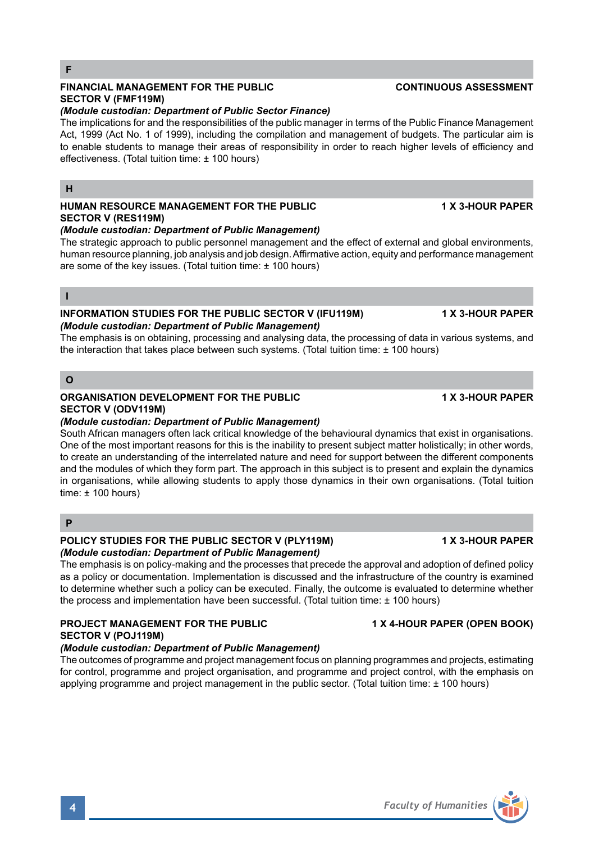### **F**

## **FINANCIAL MANAGEMENT FOR THE PUBLIC CONTINUOUS ASSESSMENT SECTOR V (FMF119M)**

## *(Module custodian: Department of Public Sector Finance)*

The implications for and the responsibilities of the public manager in terms of the Public Finance Management Act, 1999 (Act No. 1 of 1999), including the compilation and management of budgets. The particular aim is to enable students to manage their areas of responsibility in order to reach higher levels of efficiency and effectiveness. (Total tuition time: ± 100 hours)

#### **H**

#### **HUMAN RESOURCE MANAGEMENT FOR THE PUBLIC 1 X 3-HOUR PAPER SECTOR V (RES119M)**  *(Module custodian: Department of Public Management)*

The strategic approach to public personnel management and the effect of external and global environments, human resource planning, job analysis and job design. Affirmative action, equity and performance management are some of the key issues. (Total tuition time: ± 100 hours)

#### **I**

### **INFORMATION STUDIES FOR THE PUBLIC SECTOR V (IFU119M) 1 X 3-HOUR PAPER** *(Module custodian: Department of Public Management)*

The emphasis is on obtaining, processing and analysing data, the processing of data in various systems, and the interaction that takes place between such systems. (Total tuition time:  $\pm$  100 hours)

### **O**

## **ORGANISATION DEVELOPMENT FOR THE PUBLIC 1 X 3-HOUR PAPER SECTOR V (ODV119M)**

### *(Module custodian: Department of Public Management)*

South African managers often lack critical knowledge of the behavioural dynamics that exist in organisations. One of the most important reasons for this is the inability to present subject matter holistically; in other words, to create an understanding of the interrelated nature and need for support between the different components and the modules of which they form part. The approach in this subject is to present and explain the dynamics in organisations, while allowing students to apply those dynamics in their own organisations. (Total tuition  $time: + 100 hours$ 

## **P**

#### **POLICY STUDIES FOR THE PUBLIC SECTOR V (PLY119M) 1 X 3-HOUR PAPER** *(Module custodian: Department of Public Management)*

The emphasis is on policy-making and the processes that precede the approval and adoption of defined policy as a policy or documentation. Implementation is discussed and the infrastructure of the country is examined to determine whether such a policy can be executed. Finally, the outcome is evaluated to determine whether the process and implementation have been successful. (Total tuition time: ± 100 hours)

## **PROJECT MANAGEMENT FOR THE PUBLIC 1 X 4-HOUR PAPER (OPEN BOOK) SECTOR V (POJ119M)**

## *(Module custodian: Department of Public Management)*

The outcomes of programme and project management focus on planning programmes and projects, estimating for control, programme and project organisation, and programme and project control, with the emphasis on applying programme and project management in the public sector. (Total tuition time: ± 100 hours)



**4** *Faculty of Humanities*